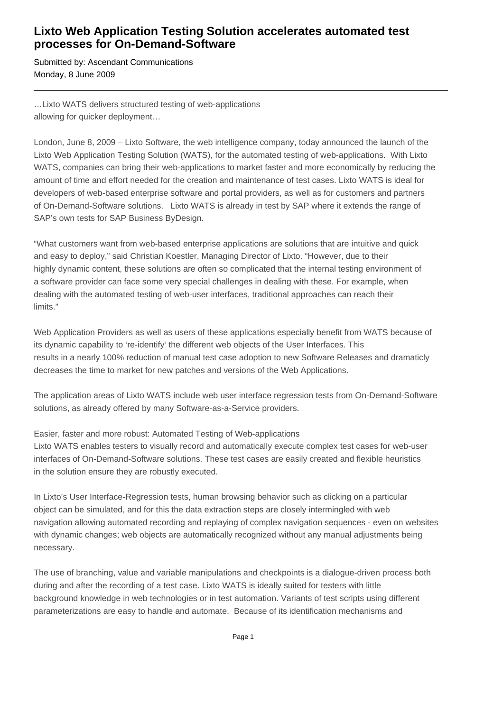## **Lixto Web Application Testing Solution accelerates automated test processes for On-Demand-Software**

Submitted by: Ascendant Communications Monday, 8 June 2009

…Lixto WATS delivers structured testing of web-applications allowing for quicker deployment…

London, June 8, 2009 – Lixto Software, the web intelligence company, today announced the launch of the Lixto Web Application Testing Solution (WATS), for the automated testing of web-applications. With Lixto WATS, companies can bring their web-applications to market faster and more economically by reducing the amount of time and effort needed for the creation and maintenance of test cases. Lixto WATS is ideal for developers of web-based enterprise software and portal providers, as well as for customers and partners of On-Demand-Software solutions. Lixto WATS is already in test by SAP where it extends the range of SAP's own tests for SAP Business ByDesign.

"What customers want from web-based enterprise applications are solutions that are intuitive and quick and easy to deploy," said Christian Koestler, Managing Director of Lixto. "However, due to their highly dynamic content, these solutions are often so complicated that the internal testing environment of a software provider can face some very special challenges in dealing with these. For example, when dealing with the automated testing of web-user interfaces, traditional approaches can reach their limits."

Web Application Providers as well as users of these applications especially benefit from WATS because of its dynamic capability to 're-identify' the different web objects of the User Interfaces. This results in a nearly 100% reduction of manual test case adoption to new Software Releases and dramaticly decreases the time to market for new patches and versions of the Web Applications.

The application areas of Lixto WATS include web user interface regression tests from On-Demand-Software solutions, as already offered by many Software-as-a-Service providers.

Easier, faster and more robust: Automated Testing of Web-applications Lixto WATS enables testers to visually record and automatically execute complex test cases for web-user interfaces of On-Demand-Software solutions. These test cases are easily created and flexible heuristics in the solution ensure they are robustly executed.

In Lixto's User Interface-Regression tests, human browsing behavior such as clicking on a particular object can be simulated, and for this the data extraction steps are closely intermingled with web navigation allowing automated recording and replaying of complex navigation sequences - even on websites with dynamic changes; web objects are automatically recognized without any manual adjustments being necessary.

The use of branching, value and variable manipulations and checkpoints is a dialogue-driven process both during and after the recording of a test case. Lixto WATS is ideally suited for testers with little background knowledge in web technologies or in test automation. Variants of test scripts using different parameterizations are easy to handle and automate. Because of its identification mechanisms and